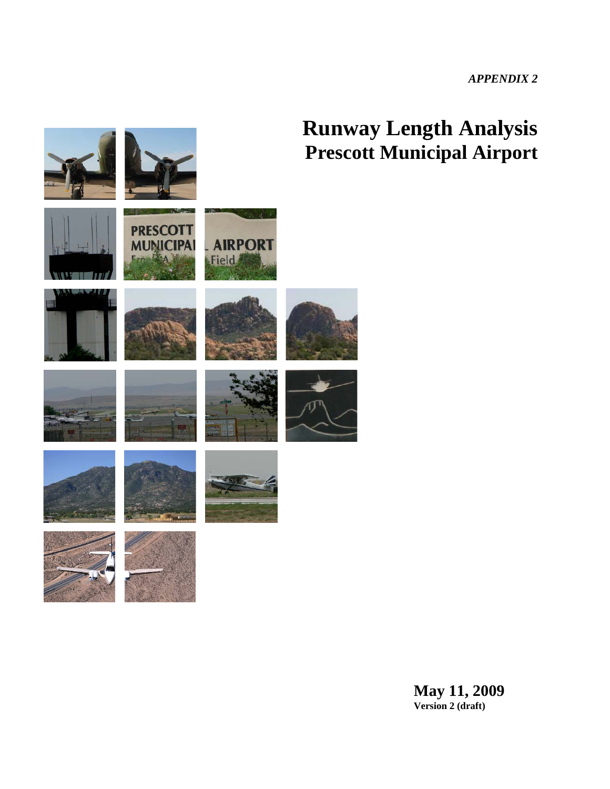*APPENDIX 2* 

# **Runway Length Analysis Prescott Municipal Airport**



**May 11, 2009 Version 2 (draft)**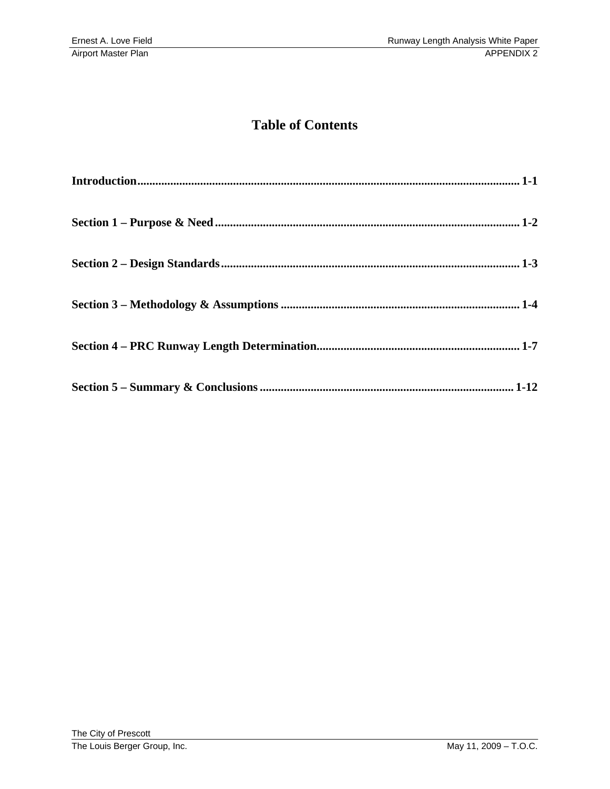### **Table of Contents**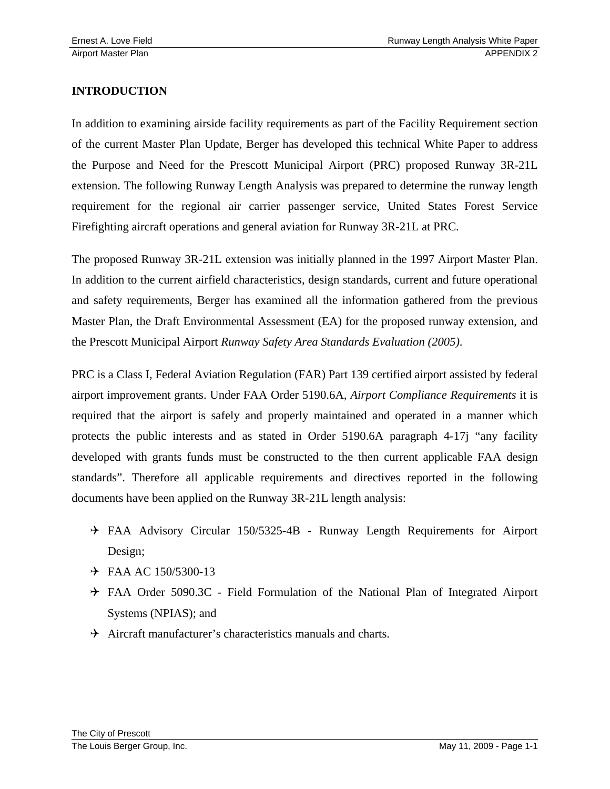#### **INTRODUCTION**

In addition to examining airside facility requirements as part of the Facility Requirement section of the current Master Plan Update, Berger has developed this technical White Paper to address the Purpose and Need for the Prescott Municipal Airport (PRC) proposed Runway 3R-21L extension. The following Runway Length Analysis was prepared to determine the runway length requirement for the regional air carrier passenger service, United States Forest Service Firefighting aircraft operations and general aviation for Runway 3R-21L at PRC.

The proposed Runway 3R-21L extension was initially planned in the 1997 Airport Master Plan. In addition to the current airfield characteristics, design standards, current and future operational and safety requirements, Berger has examined all the information gathered from the previous Master Plan, the Draft Environmental Assessment (EA) for the proposed runway extension, and the Prescott Municipal Airport *Runway Safety Area Standards Evaluation (2005)*.

PRC is a Class I, Federal Aviation Regulation (FAR) Part 139 certified airport assisted by federal airport improvement grants. Under FAA Order 5190.6A, *Airport Compliance Requirements* it is required that the airport is safely and properly maintained and operated in a manner which protects the public interests and as stated in Order 5190.6A paragraph 4-17j "any facility developed with grants funds must be constructed to the then current applicable FAA design standards". Therefore all applicable requirements and directives reported in the following documents have been applied on the Runway 3R-21L length analysis:

- 4 FAA Advisory Circular 150/5325-4B Runway Length Requirements for Airport Design;
- $\div$  FAA AC 150/5300-13
- 4 FAA Order 5090.3C Field Formulation of the National Plan of Integrated Airport Systems (NPIAS); and
- $\rightarrow$  Aircraft manufacturer's characteristics manuals and charts.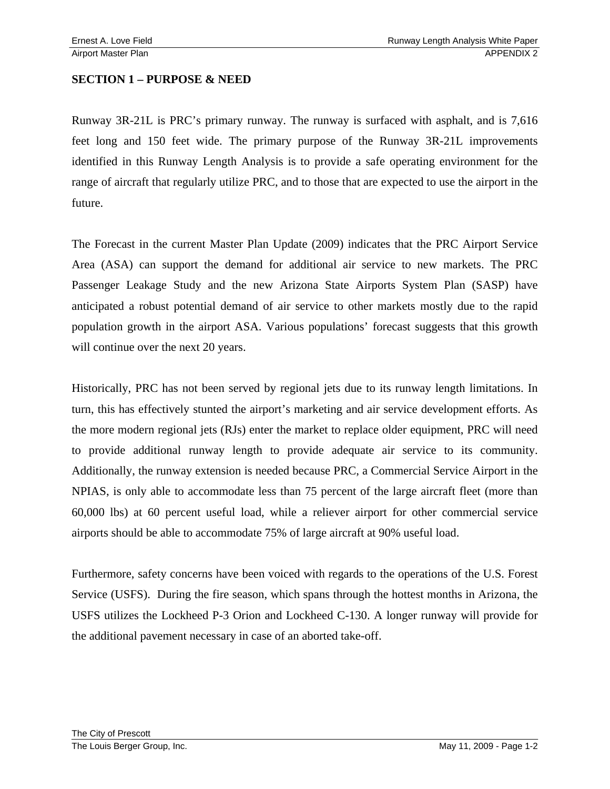#### **SECTION 1 – PURPOSE & NEED**

Runway 3R-21L is PRC's primary runway. The runway is surfaced with asphalt, and is 7,616 feet long and 150 feet wide. The primary purpose of the Runway 3R-21L improvements identified in this Runway Length Analysis is to provide a safe operating environment for the range of aircraft that regularly utilize PRC, and to those that are expected to use the airport in the future.

The Forecast in the current Master Plan Update (2009) indicates that the PRC Airport Service Area (ASA) can support the demand for additional air service to new markets. The PRC Passenger Leakage Study and the new Arizona State Airports System Plan (SASP) have anticipated a robust potential demand of air service to other markets mostly due to the rapid population growth in the airport ASA. Various populations' forecast suggests that this growth will continue over the next 20 years.

Historically, PRC has not been served by regional jets due to its runway length limitations. In turn, this has effectively stunted the airport's marketing and air service development efforts. As the more modern regional jets (RJs) enter the market to replace older equipment, PRC will need to provide additional runway length to provide adequate air service to its community. Additionally, the runway extension is needed because PRC, a Commercial Service Airport in the NPIAS, is only able to accommodate less than 75 percent of the large aircraft fleet (more than 60,000 lbs) at 60 percent useful load, while a reliever airport for other commercial service airports should be able to accommodate 75% of large aircraft at 90% useful load.

Furthermore, safety concerns have been voiced with regards to the operations of the U.S. Forest Service (USFS). During the fire season, which spans through the hottest months in Arizona, the USFS utilizes the Lockheed P-3 Orion and Lockheed C-130. A longer runway will provide for the additional pavement necessary in case of an aborted take-off.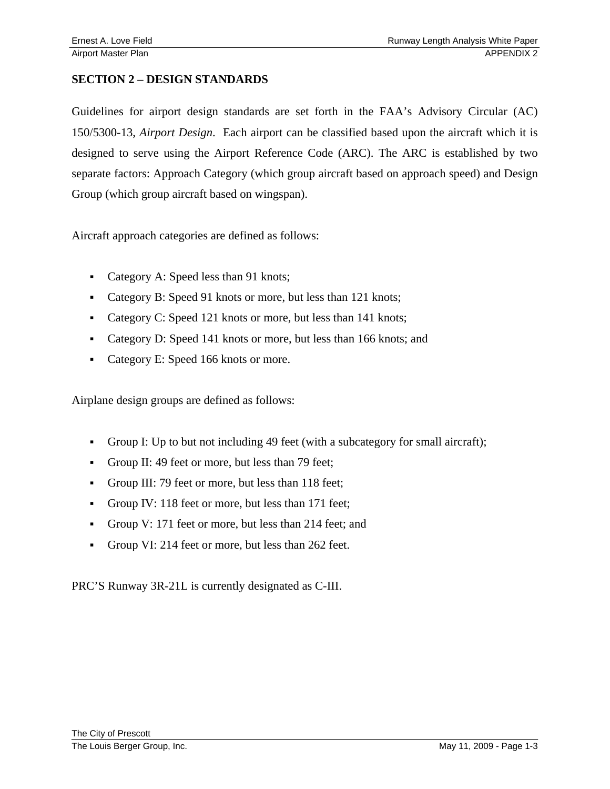#### **SECTION 2 – DESIGN STANDARDS**

Guidelines for airport design standards are set forth in the FAA's Advisory Circular (AC) 150/5300-13, *Airport Design*. Each airport can be classified based upon the aircraft which it is designed to serve using the Airport Reference Code (ARC). The ARC is established by two separate factors: Approach Category (which group aircraft based on approach speed) and Design Group (which group aircraft based on wingspan).

Aircraft approach categories are defined as follows:

- Category A: Speed less than 91 knots;
- Category B: Speed 91 knots or more, but less than 121 knots;
- Category C: Speed 121 knots or more, but less than 141 knots;
- Category D: Speed 141 knots or more, but less than 166 knots; and
- Category E: Speed 166 knots or more.

Airplane design groups are defined as follows:

- Group I: Up to but not including 49 feet (with a subcategory for small aircraft);
- Group II: 49 feet or more, but less than 79 feet;
- Group III: 79 feet or more, but less than 118 feet;
- Group IV: 118 feet or more, but less than 171 feet;
- Group V: 171 feet or more, but less than 214 feet; and
- Group VI: 214 feet or more, but less than 262 feet.

PRC'S Runway 3R-21L is currently designated as C-III.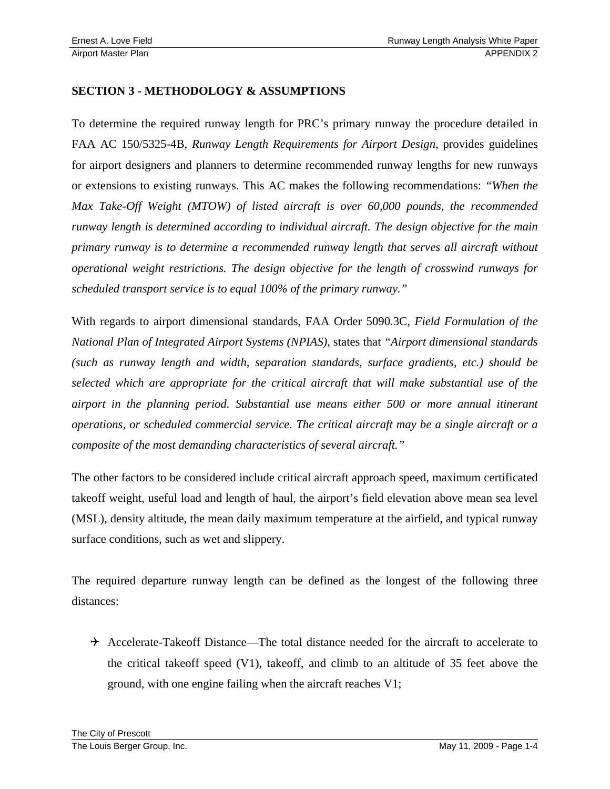#### **SECTION 3 - METHODOLOGY & ASSUMPTIONS**

To determine the required runway length for PRC's primary runway the procedure detailed in FAA AC 150/5325-4B, *Runway Length Requirements for Airport Design,* provides guidelines for airport designers and planners to determine recommended runway lengths for new runways or extensions to existing runways. This AC makes the following recommendations: *"When the Max Take-Off Weight (MTOW) of listed aircraft is over 60,000 pounds, the recommended runway length is determined according to individual aircraft. The design objective for the main primary runway is to determine a recommended runway length that serves all aircraft without operational weight restrictions. The design objective for the length of crosswind runways for scheduled transport service is to equal 100% of the primary runway."* 

With regards to airport dimensional standards, FAA Order 5090.3C, *Field Formulation of the National Plan of Integrated Airport Systems (NPIAS)*, states that *"Airport dimensional standards (such as runway length and width, separation standards, surface gradients, etc.) should be selected which are appropriate for the critical aircraft that will make substantial use of the airport in the planning period. Substantial use means either 500 or more annual itinerant operations, or scheduled commercial service. The critical aircraft may be a single aircraft or a composite of the most demanding characteristics of several aircraft."*

The other factors to be considered include critical aircraft approach speed, maximum certificated takeoff weight, useful load and length of haul, the airport's field elevation above mean sea level (MSL), density altitude, the mean daily maximum temperature at the airfield, and typical runway surface conditions, such as wet and slippery.

The required departure runway length can be defined as the longest of the following three distances:

 $\rightarrow$  Accelerate-Takeoff Distance—The total distance needed for the aircraft to accelerate to the critical takeoff speed (V1), takeoff, and climb to an altitude of 35 feet above the ground, with one engine failing when the aircraft reaches V1;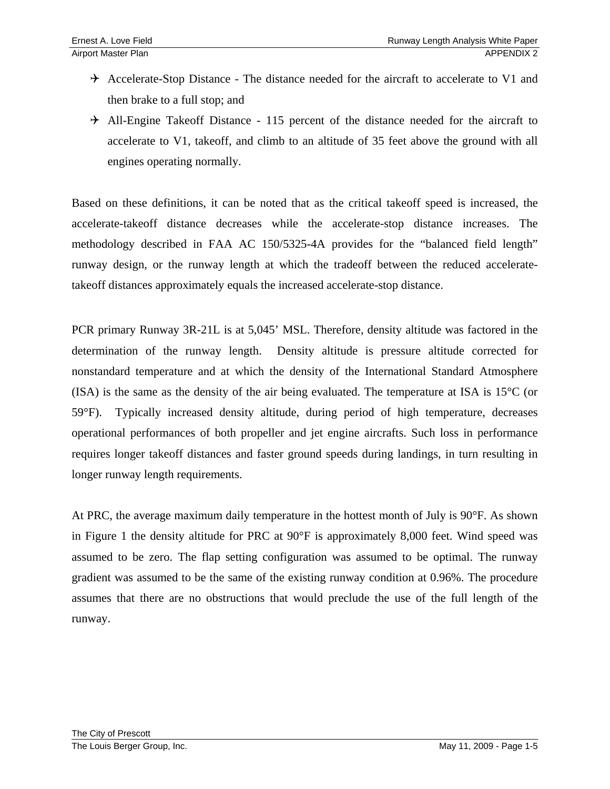- $\rightarrow$  Accelerate-Stop Distance The distance needed for the aircraft to accelerate to V1 and then brake to a full stop; and
- $\rightarrow$  All-Engine Takeoff Distance 115 percent of the distance needed for the aircraft to accelerate to V1, takeoff, and climb to an altitude of 35 feet above the ground with all engines operating normally.

Based on these definitions, it can be noted that as the critical takeoff speed is increased, the accelerate-takeoff distance decreases while the accelerate-stop distance increases. The methodology described in FAA AC 150/5325-4A provides for the "balanced field length" runway design, or the runway length at which the tradeoff between the reduced acceleratetakeoff distances approximately equals the increased accelerate-stop distance.

PCR primary Runway 3R-21L is at 5,045' MSL. Therefore, density altitude was factored in the determination of the runway length. Density altitude is pressure altitude corrected for nonstandard temperature and at which the density of the International Standard Atmosphere (ISA) is the same as the density of the air being evaluated. The temperature at ISA is  $15^{\circ}$ C (or 59°F). Typically increased density altitude, during period of high temperature, decreases operational performances of both propeller and jet engine aircrafts. Such loss in performance requires longer takeoff distances and faster ground speeds during landings, in turn resulting in longer runway length requirements.

At PRC, the average maximum daily temperature in the hottest month of July is 90°F. As shown in Figure 1 the density altitude for PRC at 90°F is approximately 8,000 feet. Wind speed was assumed to be zero. The flap setting configuration was assumed to be optimal. The runway gradient was assumed to be the same of the existing runway condition at 0.96%. The procedure assumes that there are no obstructions that would preclude the use of the full length of the runway.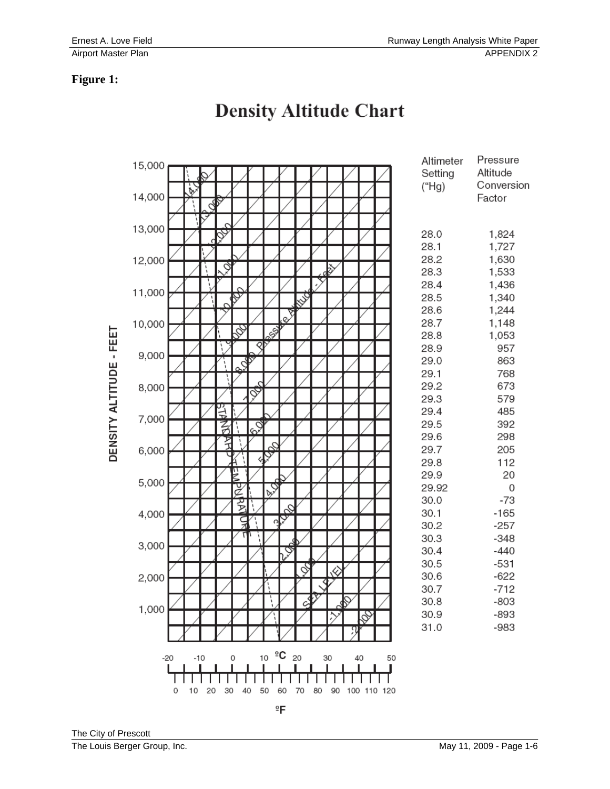#### **Figure 1:**

|                                                         | 15,000 |                                             | Altimeter    | Pressure       |  |  |  |
|---------------------------------------------------------|--------|---------------------------------------------|--------------|----------------|--|--|--|
|                                                         |        |                                             | Setting      | Altitude       |  |  |  |
|                                                         |        | B                                           | (Hg)         | Conversion     |  |  |  |
|                                                         | 14,000 |                                             |              | Factor         |  |  |  |
|                                                         |        |                                             |              |                |  |  |  |
|                                                         | 13,000 |                                             |              |                |  |  |  |
|                                                         |        |                                             | 28.0         | 1,824          |  |  |  |
|                                                         |        |                                             | 28.1         | 1,727          |  |  |  |
|                                                         | 12,000 | ð                                           | 28.2<br>28.3 | 1,630          |  |  |  |
|                                                         |        | ı,                                          | 28.4         | 1,533          |  |  |  |
|                                                         | 11,000 |                                             | 28.5         | 1,436<br>1,340 |  |  |  |
|                                                         |        | D                                           | 28.6         | 1,244          |  |  |  |
|                                                         |        | Ç<br>Ø                                      | 28.7         | 1,148          |  |  |  |
|                                                         | 10,000 | ss.<br>Þ                                    | 28.8         | 1,053          |  |  |  |
|                                                         |        | ∢                                           | 28.9         | 957            |  |  |  |
|                                                         | 9,000  |                                             | 29.0         | 863            |  |  |  |
|                                                         |        | Š                                           | 29.1         | 768            |  |  |  |
|                                                         | 8,000  |                                             | 29.2         | 673            |  |  |  |
|                                                         |        | ৡ                                           | 29.3         | 579            |  |  |  |
|                                                         |        |                                             | 29.4         | 485            |  |  |  |
|                                                         | 7,000  | ş<br>20<br>召                                | 29.5         | 392            |  |  |  |
|                                                         |        |                                             | 29.6         | 298            |  |  |  |
| DENSITY ALTITUDE - FEET                                 | 6,000  |                                             | 29.7         | 205            |  |  |  |
|                                                         |        |                                             | 29.8         | 112            |  |  |  |
|                                                         | 5,000  | Ĕ                                           | 29.9         | 20             |  |  |  |
|                                                         |        | $\overline{c}$<br>ž                         | 29.92        | 0              |  |  |  |
|                                                         | 4,000  | ट्ट                                         | 30.0         | $-73$          |  |  |  |
|                                                         |        | S,                                          | 30.1         | $-165$         |  |  |  |
|                                                         |        | $\frac{1}{2}$<br>ç                          | 30.2         | $-257$         |  |  |  |
|                                                         | 3,000  |                                             | 30.3         | $-348$         |  |  |  |
|                                                         |        | ୨                                           | 30.4         | $-440$         |  |  |  |
|                                                         | 2,000  | Ş<br>$\otimes$                              | 30.5         | $-531$         |  |  |  |
|                                                         |        |                                             | 30.6         | $-622$         |  |  |  |
|                                                         |        |                                             | 30.7         | $-712$         |  |  |  |
|                                                         | 1,000  | $\mathcal{F}$<br>ì<br>Ω                     | 30.8         | $-803$         |  |  |  |
|                                                         |        |                                             | 30.9         | $-893$         |  |  |  |
|                                                         |        |                                             | 31.0         | $-983$         |  |  |  |
|                                                         |        |                                             |              |                |  |  |  |
|                                                         |        | $-10$ 0 10 $^{9}C$ 20<br>30<br>40 50<br>-20 |              |                |  |  |  |
|                                                         |        |                                             |              |                |  |  |  |
| 70 80 90 100 110 120<br>10 20<br>30<br>40 50<br>60<br>0 |        |                                             |              |                |  |  |  |
|                                                         |        | °F                                          |              |                |  |  |  |

## **Density Altitude Chart**

The City of Prescott The Louis Berger Group, Inc. **May 11, 2009 - Page 1-6**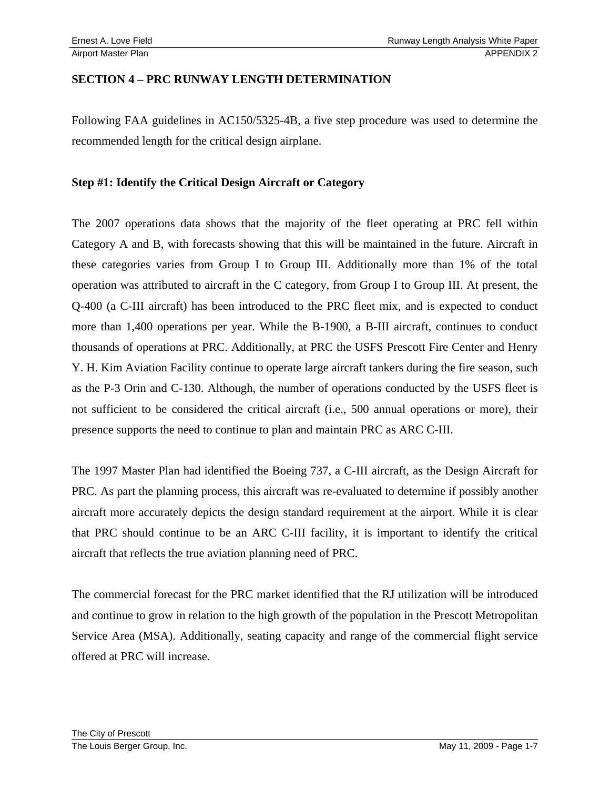#### **SECTION 4 – PRC RUNWAY LENGTH DETERMINATION**

Following FAA guidelines in AC150/5325-4B, a five step procedure was used to determine the recommended length for the critical design airplane.

#### **Step #1: Identify the Critical Design Aircraft or Category**

The 2007 operations data shows that the majority of the fleet operating at PRC fell within Category A and B, with forecasts showing that this will be maintained in the future. Aircraft in these categories varies from Group I to Group III. Additionally more than 1% of the total operation was attributed to aircraft in the C category, from Group I to Group III. At present, the Q-400 (a C-III aircraft) has been introduced to the PRC fleet mix, and is expected to conduct more than 1,400 operations per year. While the B-1900, a B-III aircraft, continues to conduct thousands of operations at PRC. Additionally, at PRC the USFS Prescott Fire Center and Henry Y. H. Kim Aviation Facility continue to operate large aircraft tankers during the fire season, such as the P-3 Orin and C-130. Although, the number of operations conducted by the USFS fleet is not sufficient to be considered the critical aircraft (i.e., 500 annual operations or more), their presence supports the need to continue to plan and maintain PRC as ARC C-III.

The 1997 Master Plan had identified the Boeing 737, a C-III aircraft, as the Design Aircraft for PRC. As part the planning process, this aircraft was re-evaluated to determine if possibly another aircraft more accurately depicts the design standard requirement at the airport. While it is clear that PRC should continue to be an ARC C-III facility, it is important to identify the critical aircraft that reflects the true aviation planning need of PRC.

The commercial forecast for the PRC market identified that the RJ utilization will be introduced and continue to grow in relation to the high growth of the population in the Prescott Metropolitan Service Area (MSA). Additionally, seating capacity and range of the commercial flight service offered at PRC will increase.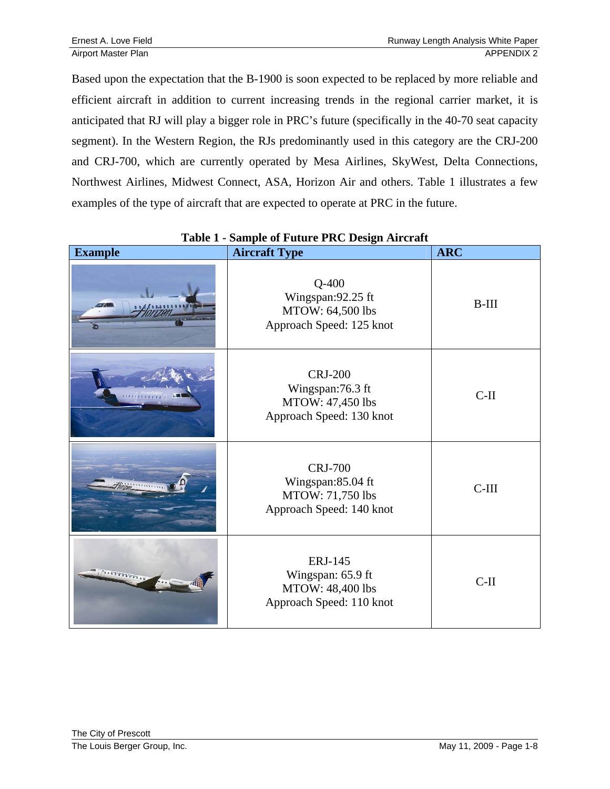Based upon the expectation that the B-1900 is soon expected to be replaced by more reliable and efficient aircraft in addition to current increasing trends in the regional carrier market, it is anticipated that RJ will play a bigger role in PRC's future (specifically in the 40-70 seat capacity segment). In the Western Region, the RJs predominantly used in this category are the CRJ-200 and CRJ-700, which are currently operated by Mesa Airlines, SkyWest, Delta Connections, Northwest Airlines, Midwest Connect, ASA, Horizon Air and others. Table 1 illustrates a few examples of the type of aircraft that are expected to operate at PRC in the future.

| <b>Example</b>          | <b>Aircraft Type</b>                                                                | <b>ARC</b> |
|-------------------------|-------------------------------------------------------------------------------------|------------|
|                         | $Q-400$<br>Wingspan: 92.25 ft<br>MTOW: 64,500 lbs<br>Approach Speed: 125 knot       | $B-III$    |
|                         | <b>CRJ-200</b><br>Wingspan:76.3 ft<br>MTOW: 47,450 lbs<br>Approach Speed: 130 knot  | $C-II$     |
|                         | <b>CRJ-700</b><br>Wingspan:85.04 ft<br>MTOW: 71,750 lbs<br>Approach Speed: 140 knot | $C-III$    |
| 's a branch grand and a | <b>ERJ-145</b><br>Wingspan: 65.9 ft<br>MTOW: 48,400 lbs<br>Approach Speed: 110 knot | $C-II$     |

#### **Table 1 - Sample of Future PRC Design Aircraft**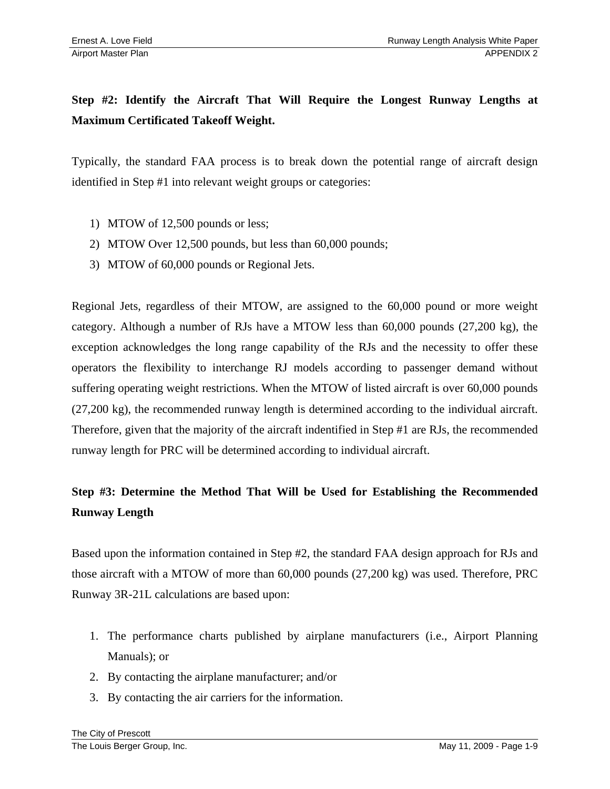## **Step #2: Identify the Aircraft That Will Require the Longest Runway Lengths at Maximum Certificated Takeoff Weight.**

Typically, the standard FAA process is to break down the potential range of aircraft design identified in Step #1 into relevant weight groups or categories:

- 1) MTOW of 12,500 pounds or less;
- 2) MTOW Over 12,500 pounds, but less than 60,000 pounds;
- 3) MTOW of 60,000 pounds or Regional Jets.

Regional Jets, regardless of their MTOW, are assigned to the 60,000 pound or more weight category. Although a number of RJs have a MTOW less than 60,000 pounds (27,200 kg), the exception acknowledges the long range capability of the RJs and the necessity to offer these operators the flexibility to interchange RJ models according to passenger demand without suffering operating weight restrictions. When the MTOW of listed aircraft is over 60,000 pounds (27,200 kg), the recommended runway length is determined according to the individual aircraft. Therefore, given that the majority of the aircraft indentified in Step #1 are RJs, the recommended runway length for PRC will be determined according to individual aircraft.

## **Step #3: Determine the Method That Will be Used for Establishing the Recommended Runway Length**

Based upon the information contained in Step #2, the standard FAA design approach for RJs and those aircraft with a MTOW of more than 60,000 pounds (27,200 kg) was used. Therefore, PRC Runway 3R-21L calculations are based upon:

- 1. The performance charts published by airplane manufacturers (i.e., Airport Planning Manuals); or
- 2. By contacting the airplane manufacturer; and/or
- 3. By contacting the air carriers for the information.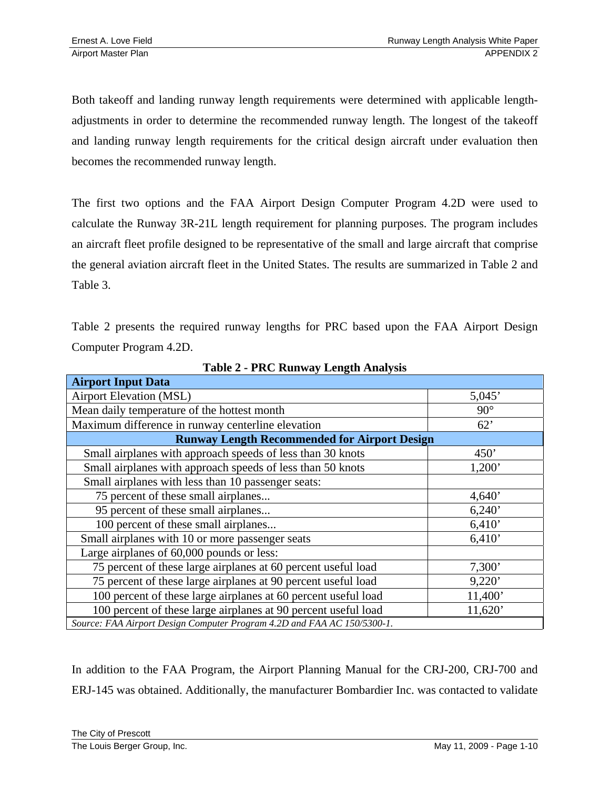Both takeoff and landing runway length requirements were determined with applicable lengthadjustments in order to determine the recommended runway length. The longest of the takeoff and landing runway length requirements for the critical design aircraft under evaluation then becomes the recommended runway length.

The first two options and the FAA Airport Design Computer Program 4.2D were used to calculate the Runway 3R-21L length requirement for planning purposes. The program includes an aircraft fleet profile designed to be representative of the small and large aircraft that comprise the general aviation aircraft fleet in the United States. The results are summarized in Table 2 and Table 3.

Table 2 presents the required runway lengths for PRC based upon the FAA Airport Design Computer Program 4.2D.

| <b>Airport Input Data</b>                                               |            |  |  |
|-------------------------------------------------------------------------|------------|--|--|
| <b>Airport Elevation (MSL)</b>                                          | 5,045'     |  |  |
| Mean daily temperature of the hottest month                             | $90^\circ$ |  |  |
| Maximum difference in runway centerline elevation                       | 62'        |  |  |
| <b>Runway Length Recommended for Airport Design</b>                     |            |  |  |
| Small airplanes with approach speeds of less than 30 knots              | 450'       |  |  |
| Small airplanes with approach speeds of less than 50 knots              | 1,200'     |  |  |
| Small airplanes with less than 10 passenger seats:                      |            |  |  |
| 75 percent of these small airplanes                                     | 4,640'     |  |  |
| 95 percent of these small airplanes                                     | 6,240'     |  |  |
| 100 percent of these small airplanes                                    | 6,410'     |  |  |
| Small airplanes with 10 or more passenger seats                         | 6,410'     |  |  |
| Large airplanes of 60,000 pounds or less:                               |            |  |  |
| 75 percent of these large airplanes at 60 percent useful load           | 7,300'     |  |  |
| 75 percent of these large airplanes at 90 percent useful load           | 9,220'     |  |  |
| 100 percent of these large airplanes at 60 percent useful load          | 11,400'    |  |  |
| 100 percent of these large airplanes at 90 percent useful load          | 11,620'    |  |  |
| Source: FAA Airport Design Computer Program 4.2D and FAA AC 150/5300-1. |            |  |  |

**Table 2 - PRC Runway Length Analysis** 

In addition to the FAA Program, the Airport Planning Manual for the CRJ-200, CRJ-700 and ERJ-145 was obtained. Additionally, the manufacturer Bombardier Inc. was contacted to validate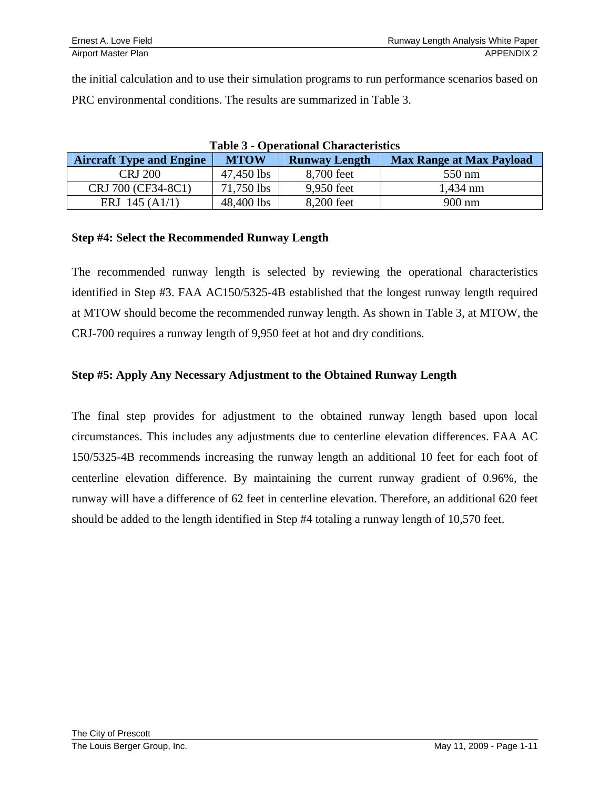the initial calculation and to use their simulation programs to run performance scenarios based on PRC environmental conditions. The results are summarized in Table 3.

| Table 5 - Operational Characteristics |             |                      |                                 |  |  |
|---------------------------------------|-------------|----------------------|---------------------------------|--|--|
| <b>Aircraft Type and Engine</b>       | <b>MTOW</b> | <b>Runway Length</b> | <b>Max Range at Max Payload</b> |  |  |
| <b>CRJ 200</b>                        | 47,450 lbs  | 8,700 feet           | 550 nm                          |  |  |
| CRJ 700 (CF34-8C1)                    | 71,750 lbs  | 9,950 feet           | $1,434$ nm                      |  |  |
| ERJ 145 $(A1/1)$                      | 48,400 lbs  | 8,200 feet           | 900 nm                          |  |  |

#### **Table 3 - Operational Characteristics**

#### **Step #4: Select the Recommended Runway Length**

The recommended runway length is selected by reviewing the operational characteristics identified in Step #3. FAA AC150/5325-4B established that the longest runway length required at MTOW should become the recommended runway length. As shown in Table 3, at MTOW, the CRJ-700 requires a runway length of 9,950 feet at hot and dry conditions.

#### **Step #5: Apply Any Necessary Adjustment to the Obtained Runway Length**

The final step provides for adjustment to the obtained runway length based upon local circumstances. This includes any adjustments due to centerline elevation differences. FAA AC 150/5325-4B recommends increasing the runway length an additional 10 feet for each foot of centerline elevation difference. By maintaining the current runway gradient of 0.96%, the runway will have a difference of 62 feet in centerline elevation. Therefore, an additional 620 feet should be added to the length identified in Step #4 totaling a runway length of 10,570 feet.